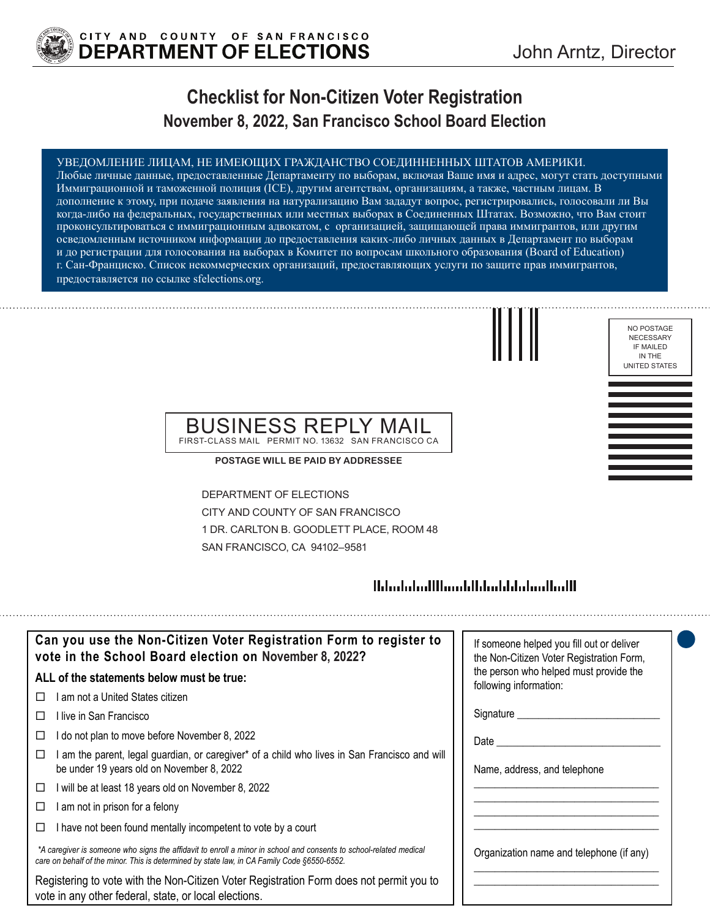

## **Checklist for Non-Citizen Voter Registration November 8, 2022, San Francisco School Board Election**

#### УВЕДОМЛЕНИЕ ЛИЦАМ, НЕ ИМЕЮЩИХ ГРАЖДАНСТВО СОЕДИННЕННЫХ ШТАТОВ АМЕРИКИ.

Любые личные данные, предоставленные Департаменту по выборам, включая Ваше имя и адрес, могут стать доступными Иммиграционной и таможенной полиция (ICE), другим агентствам, организациям, а также, частным лицам. В дополнение к этому, при подаче заявления на натурализацию Вам зададут вопрос, регистрировались, голосовали ли Вы когда-либо на федеральных, государственных или местных выборах в Соединенных Штатах. Возможно, что Вам стоит проконсультироваться с иммиграционным адвокатом, с организацией, защищающей права иммигрантов, или другим осведомленным источником информации до предоставления каких-либо личных данных в Департамент по выборам и до регистрации для голосования на выборах в Комитет по вопросам школьногo образования (Board of Education) г. Сан-Франциско. Список некоммерческих организаций, предоставляющих услуги по защите прав иммигрантов, предоставляется по ссылке sfelections.org.



NO POSTAGE NECESSARY IF MAILED IN THE UNITED STATES

### BUSINESS REPLY MAIL FIRST-CLASS MAIL PERMIT NO. 13632 SAN FRANCISCO CA

**POSTAGE WILL BE PAID BY ADDRESSEE**

DEPARTMENT OF ELECTIONS CITY AND COUNTY OF SAN FRANCISCO 1 DR. CARLTON B. GOODLETT PLACE, ROOM 48 SAN FRANCISCO, CA 94102–9581

## 

| Can you use the Non-Citizen Voter Registration Form to register to<br>vote in the School Board election on November 8, 2022?                                                                                      | If someone helped you fill out or deliver<br>the Non-Citizen Voter Registration Form, |
|-------------------------------------------------------------------------------------------------------------------------------------------------------------------------------------------------------------------|---------------------------------------------------------------------------------------|
| ALL of the statements below must be true:                                                                                                                                                                         | the person who helped must provide the<br>following information:                      |
| am not a United States citizen                                                                                                                                                                                    |                                                                                       |
| ⊟live in San Francisco                                                                                                                                                                                            | Signature _____                                                                       |
| do not plan to move before November 8, 2022                                                                                                                                                                       | Date                                                                                  |
| am the parent, legal guardian, or caregiver* of a child who lives in San Francisco and will<br>be under 19 years old on November 8, 2022                                                                          | Name, address, and telephone                                                          |
| will be at least 18 years old on November 8, 2022<br>□                                                                                                                                                            |                                                                                       |
| am not in prison for a felony                                                                                                                                                                                     |                                                                                       |
| I have not been found mentally incompetent to vote by a court                                                                                                                                                     |                                                                                       |
| *A caregiver is someone who signs the affidavit to enroll a minor in school and consents to school-related medical<br>care on behalf of the minor. This is determined by state law, in CA Family Code §6550-6552. | Organization name and telephone (if any)                                              |
| Registering to vote with the Non-Citizen Voter Registration Form does not permit you to<br>vote in any other federal, state, or local elections.                                                                  |                                                                                       |